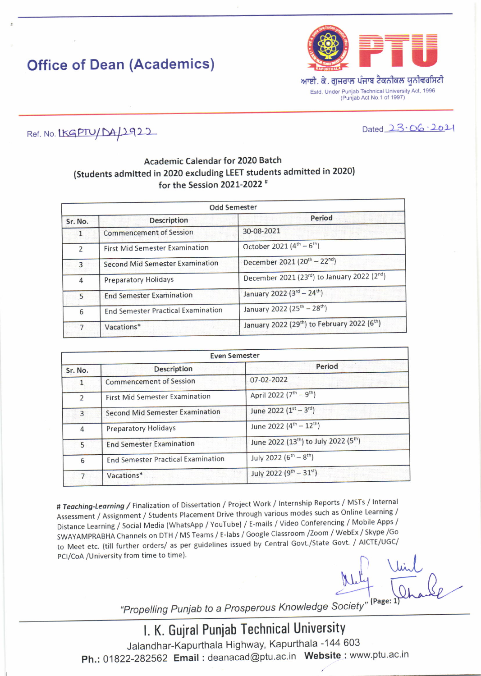## Office of Dean (Academics)



ਆਈ. ਕੇ. ਗਜਰਾਲ ਪੰਜਾਬ ਟੈਕਨੀਕਲ ਯੂਨੀਵਰਸਿਟੀ Estd. Under Punjab Technical University Act, 1996 (Puniab Act No 1 of 1997)

 $Dated 23.06.2021$ 

### Ref. No. LKGPTU/DA/1922

### Academic Calendar for 2020 Batch (Students admitted in 2020 excluding IEET students admitted in 2020| for the Session 2021-2022<sup>#</sup>

| <b>Odd Semester</b> |                                           |                                                                      |
|---------------------|-------------------------------------------|----------------------------------------------------------------------|
| Sr. No.             | <b>Description</b>                        | Period                                                               |
|                     | <b>Commencement of Session</b>            | 30-08-2021                                                           |
| $\overline{2}$      | <b>First Mid Semester Examination</b>     | October 2021 (4 <sup>th</sup> – 6 <sup>th</sup> )                    |
| $\overline{3}$      | <b>Second Mid Semester Examination</b>    | December 2021 (20 <sup>th</sup> - 22 <sup>nd</sup> )                 |
| 4                   | Preparatory Holidays                      | December 2021 (23rd) to January 2022 (2nd)                           |
| $5^{\circ}$         | <b>End Semester Examination</b>           | January 2022 (3rd - 24th)                                            |
| 6                   | <b>End Semester Practical Examination</b> | January 2022 (25 <sup>th</sup> - 28 <sup>th</sup> )                  |
|                     | Vacations*                                | January 2022 (29 <sup>th</sup> ) to February 2022 (6 <sup>th</sup> ) |

| Even Semester  |                                           |                                                               |
|----------------|-------------------------------------------|---------------------------------------------------------------|
| Sr. No.        | Description                               | Period                                                        |
|                | <b>Commencement of Session</b>            | 07-02-2022                                                    |
| $\overline{2}$ | <b>First Mid Semester Examination</b>     | April 2022 (7 <sup>th</sup> - 9 <sup>th</sup> )               |
| 3              | <b>Second Mid Semester Examination</b>    | June 2022 (1st - 3rd)                                         |
| $\overline{4}$ | <b>Preparatory Holidays</b>               | June 2022 (4 <sup>th</sup> - 12 <sup>th</sup> )               |
| 5              | <b>End Semester Examination</b>           | June 2022 (13 <sup>th</sup> ) to July 2022 (5 <sup>th</sup> ) |
| 6              | <b>End Semester Practical Examination</b> | July 2022 (6 <sup>th</sup> - 8 <sup>th</sup> )                |
| $\overline{7}$ | Vacations*                                | July 2022 (9 <sup>th</sup> - 31 <sup>st</sup> )               |

# Teaching-Learning / Finalization of Dissertation / Project Work / Internship Reports / MSTs / Internal Assessment / Assignment / Students Placement Drive through various modes such as Online Learning / Distance Learning / Social Media (WhatsApp / YouTube) / E-mails / Video Conferencing / Mobile Apps / SWAYAMPRABHA Channels on DTH / MS Teams / E-labs / Google classroom /Zoom / WebEx / Skype /Go to Meet etc. (till further orders/ as per guidelines issued by Central Govt./State Govt. / AlcTE/OGC/<br>PCI/CoA /University from time to time).

 $Mtl_1$   $Udot_2$ <br> $Mtl_3$   $Udot_4$ 

"Propelling Punjab to a Prosperous Knowledge Society"

l. K. Gujral Puniab Technical University Jalandhar-Kapurthala Highway, Kapurthala -144 603 Ph.: 01822-282562 Email: deanacad@ptu.ac.in Website: www.ptu.ac.in